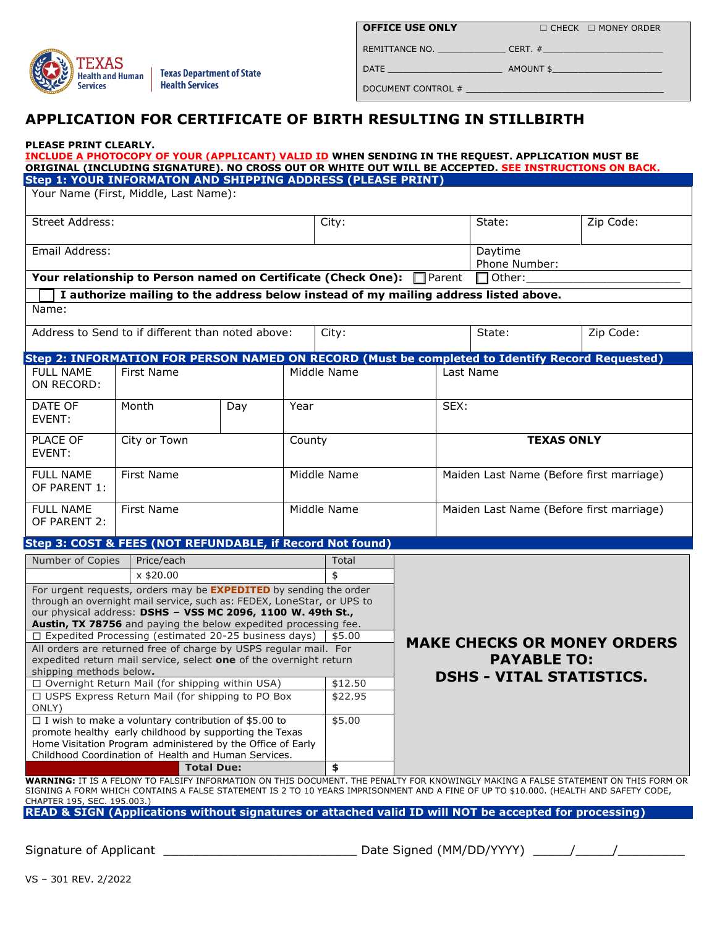

**OFFICE USE ONLY**  $□$  CHECK  $□$  MONEY ORDER

DATE \_\_\_\_\_\_\_\_\_\_\_\_\_\_\_\_\_\_\_\_\_\_ AMOUNT \$\_\_\_\_\_\_\_\_\_\_\_\_\_\_\_\_\_\_\_\_\_

DOCUMENT CONTROL # \_\_\_\_\_\_\_\_\_\_\_\_\_\_\_\_\_\_\_\_\_\_\_\_\_\_\_\_\_\_\_\_\_\_\_\_\_\_

REMITTANCE NO. \_\_\_\_\_\_\_\_\_\_\_\_\_ CERT. #\_\_\_\_\_\_\_\_\_\_\_\_\_\_\_\_\_\_\_\_\_\_\_

# **APPLICATION FOR CERTIFICATE OF BIRTH RESULTING IN STILLBIRTH**

### **PLEASE PRINT CLEARLY.**

|                                                                                                                                       | <u>INCLUDE A PHOTOCOPY OF YOUR (APPLICANT) VALID ID</u> WHEN SENDING IN THE REQUEST. APPLICATION MUST BE<br>ORIGINAL (INCLUDING SIGNATURE). NO CROSS OUT OR WHITE OUT WILL BE ACCEPTED. SEE INSTRUCTIONS ON BACK. |         |                                                                                                              |             |               |                                          |                                 |               |           |  |
|---------------------------------------------------------------------------------------------------------------------------------------|-------------------------------------------------------------------------------------------------------------------------------------------------------------------------------------------------------------------|---------|--------------------------------------------------------------------------------------------------------------|-------------|---------------|------------------------------------------|---------------------------------|---------------|-----------|--|
|                                                                                                                                       | Step 1: YOUR INFORMATON AND SHIPPING ADDRESS (PLEASE PRINT)                                                                                                                                                       |         |                                                                                                              |             |               |                                          |                                 |               |           |  |
|                                                                                                                                       | Your Name (First, Middle, Last Name):                                                                                                                                                                             |         |                                                                                                              |             |               |                                          |                                 |               |           |  |
|                                                                                                                                       |                                                                                                                                                                                                                   |         |                                                                                                              |             |               |                                          |                                 |               |           |  |
| Street Address:                                                                                                                       |                                                                                                                                                                                                                   |         |                                                                                                              |             |               |                                          |                                 |               |           |  |
|                                                                                                                                       |                                                                                                                                                                                                                   |         |                                                                                                              | City:       |               |                                          | State:                          |               | Zip Code: |  |
|                                                                                                                                       |                                                                                                                                                                                                                   |         |                                                                                                              |             |               |                                          |                                 |               |           |  |
| Email Address:                                                                                                                        |                                                                                                                                                                                                                   | Daytime |                                                                                                              |             |               |                                          |                                 |               |           |  |
|                                                                                                                                       |                                                                                                                                                                                                                   |         |                                                                                                              |             |               |                                          |                                 | Phone Number: |           |  |
|                                                                                                                                       | Your relationship to Person named on Certificate (Check One):                                                                                                                                                     |         |                                                                                                              |             | $\Box$ Parent |                                          | $\Box$ Other:                   |               |           |  |
|                                                                                                                                       | I authorize mailing to the address below instead of my mailing address listed above.                                                                                                                              |         |                                                                                                              |             |               |                                          |                                 |               |           |  |
| Name:                                                                                                                                 |                                                                                                                                                                                                                   |         |                                                                                                              |             |               |                                          |                                 |               |           |  |
|                                                                                                                                       |                                                                                                                                                                                                                   |         |                                                                                                              |             |               |                                          |                                 |               |           |  |
|                                                                                                                                       | Address to Send to if different than noted above:                                                                                                                                                                 |         |                                                                                                              |             | City:         |                                          |                                 |               | Zip Code: |  |
|                                                                                                                                       |                                                                                                                                                                                                                   |         |                                                                                                              |             |               | State:                                   |                                 |               |           |  |
|                                                                                                                                       |                                                                                                                                                                                                                   |         |                                                                                                              |             |               |                                          |                                 |               |           |  |
| <b>FULL NAME</b>                                                                                                                      |                                                                                                                                                                                                                   |         | Step 2: INFORMATION FOR PERSON NAMED ON RECORD (Must be completed to Identify Record Requested)<br>Last Name |             |               |                                          |                                 |               |           |  |
|                                                                                                                                       | First Name                                                                                                                                                                                                        |         |                                                                                                              | Middle Name |               |                                          |                                 |               |           |  |
| ON RECORD:                                                                                                                            |                                                                                                                                                                                                                   |         |                                                                                                              |             |               |                                          |                                 |               |           |  |
| DATE OF                                                                                                                               | Month<br>Day<br>Year                                                                                                                                                                                              |         |                                                                                                              |             | SEX:          |                                          |                                 |               |           |  |
| EVENT:                                                                                                                                |                                                                                                                                                                                                                   |         |                                                                                                              |             |               |                                          |                                 |               |           |  |
|                                                                                                                                       |                                                                                                                                                                                                                   |         |                                                                                                              |             |               |                                          |                                 |               |           |  |
| PLACE OF                                                                                                                              | City or Town<br>County                                                                                                                                                                                            |         |                                                                                                              |             |               | <b>TEXAS ONLY</b>                        |                                 |               |           |  |
| EVENT:                                                                                                                                |                                                                                                                                                                                                                   |         |                                                                                                              |             |               |                                          |                                 |               |           |  |
|                                                                                                                                       |                                                                                                                                                                                                                   |         |                                                                                                              |             |               |                                          |                                 |               |           |  |
| <b>FULL NAME</b>                                                                                                                      | First Name                                                                                                                                                                                                        |         |                                                                                                              | Middle Name |               | Maiden Last Name (Before first marriage) |                                 |               |           |  |
| OF PARENT 1:                                                                                                                          |                                                                                                                                                                                                                   |         |                                                                                                              |             |               |                                          |                                 |               |           |  |
|                                                                                                                                       |                                                                                                                                                                                                                   |         |                                                                                                              |             |               |                                          |                                 |               |           |  |
| <b>FULL NAME</b>                                                                                                                      | First Name                                                                                                                                                                                                        |         |                                                                                                              | Middle Name |               | Maiden Last Name (Before first marriage) |                                 |               |           |  |
| OF PARENT 2:                                                                                                                          |                                                                                                                                                                                                                   |         |                                                                                                              |             |               |                                          |                                 |               |           |  |
|                                                                                                                                       | Step 3: COST & FEES (NOT REFUNDABLE, if Record Not found)                                                                                                                                                         |         |                                                                                                              |             |               |                                          |                                 |               |           |  |
| Number of Copies                                                                                                                      | Price/each                                                                                                                                                                                                        |         |                                                                                                              | Total       |               |                                          |                                 |               |           |  |
|                                                                                                                                       | x \$20.00                                                                                                                                                                                                         |         |                                                                                                              |             |               |                                          |                                 |               |           |  |
|                                                                                                                                       |                                                                                                                                                                                                                   |         |                                                                                                              | \$          |               |                                          |                                 |               |           |  |
|                                                                                                                                       | For urgent requests, orders may be <b>EXPEDITED</b> by sending the order                                                                                                                                          |         |                                                                                                              |             |               |                                          |                                 |               |           |  |
| through an overnight mail service, such as: FEDEX, LoneStar, or UPS to<br>our physical address: DSHS - VSS MC 2096, 1100 W. 49th St., |                                                                                                                                                                                                                   |         |                                                                                                              |             |               |                                          |                                 |               |           |  |
| Austin, TX 78756 and paying the below expedited processing fee.                                                                       |                                                                                                                                                                                                                   |         |                                                                                                              |             |               |                                          |                                 |               |           |  |
| □ Expedited Processing (estimated 20-25 business days)<br>\$5.00                                                                      |                                                                                                                                                                                                                   |         |                                                                                                              |             |               |                                          |                                 |               |           |  |
| <b>MAKE CHECKS OR MONEY ORDERS</b><br>All orders are returned free of charge by USPS regular mail. For                                |                                                                                                                                                                                                                   |         |                                                                                                              |             |               |                                          |                                 |               |           |  |
|                                                                                                                                       | expedited return mail service, select one of the overnight return                                                                                                                                                 |         |                                                                                                              |             |               |                                          | <b>PAYABLE TO:</b>              |               |           |  |
| shipping methods below.                                                                                                               |                                                                                                                                                                                                                   |         |                                                                                                              |             |               |                                          | <b>DSHS - VITAL STATISTICS.</b> |               |           |  |
| □ Overnight Return Mail (for shipping within USA)                                                                                     |                                                                                                                                                                                                                   |         |                                                                                                              | \$12.50     |               |                                          |                                 |               |           |  |
| □ USPS Express Return Mail (for shipping to PO Box                                                                                    |                                                                                                                                                                                                                   |         |                                                                                                              | \$22.95     |               |                                          |                                 |               |           |  |
| ONLY)                                                                                                                                 |                                                                                                                                                                                                                   |         |                                                                                                              |             |               |                                          |                                 |               |           |  |
| $\Box$ I wish to make a voluntary contribution of \$5.00 to                                                                           |                                                                                                                                                                                                                   |         |                                                                                                              | \$5.00      |               |                                          |                                 |               |           |  |
| promote healthy early childhood by supporting the Texas                                                                               |                                                                                                                                                                                                                   |         |                                                                                                              |             |               |                                          |                                 |               |           |  |
| Home Visitation Program administered by the Office of Early                                                                           |                                                                                                                                                                                                                   |         |                                                                                                              |             |               |                                          |                                 |               |           |  |
| Childhood Coordination of Health and Human Services.<br><b>Total Due:</b>                                                             |                                                                                                                                                                                                                   |         |                                                                                                              |             |               |                                          |                                 |               |           |  |
|                                                                                                                                       | \$                                                                                                                                                                                                                |         |                                                                                                              |             |               |                                          |                                 |               |           |  |
|                                                                                                                                       | WARNING: IT IS A FELONY TO FALSIFY INFORMATION ON THIS DOCUMENT. THE PENALTY FOR KNOWINGLY MAKING A FALSE STATEMENT ON THIS FORM OR                                                                               |         |                                                                                                              |             |               |                                          |                                 |               |           |  |
| CHAPTER 195, SEC. 195.003.)                                                                                                           | SIGNING A FORM WHICH CONTAINS A FALSE STATEMENT IS 2 TO 10 YEARS IMPRISONMENT AND A FINE OF UP TO \$10.000. (HEALTH AND SAFETY CODE,                                                                              |         |                                                                                                              |             |               |                                          |                                 |               |           |  |
|                                                                                                                                       | READ & SIGN (Applications without signatures or attached valid ID will NOT be accepted for processing)                                                                                                            |         |                                                                                                              |             |               |                                          |                                 |               |           |  |
|                                                                                                                                       |                                                                                                                                                                                                                   |         |                                                                                                              |             |               |                                          |                                 |               |           |  |
|                                                                                                                                       |                                                                                                                                                                                                                   |         |                                                                                                              |             |               |                                          |                                 |               |           |  |

VS – 301 REV. 2/2022